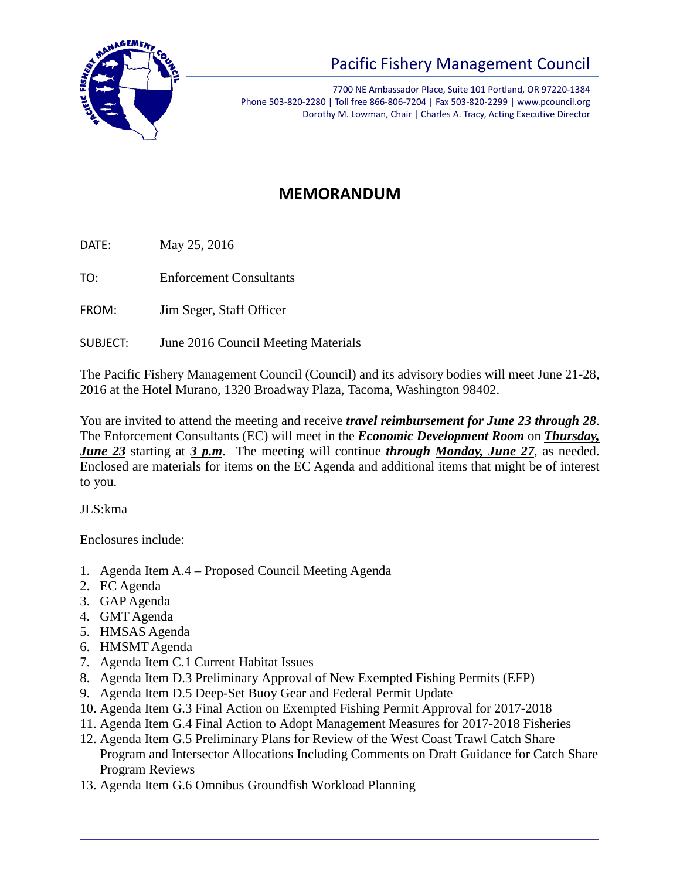

## Pacific Fishery Management Council

7700 NE Ambassador Place, Suite 101 Portland, OR 97220-1384 Phone 503-820-2280 | Toll free 866-806-7204 | Fax 503-820-2299 | www.pcouncil.org Dorothy M. Lowman, Chair | Charles A. Tracy, Acting Executive Director

## **MEMORANDUM**

DATE: May 25, 2016

TO: Enforcement Consultants

FROM: Jim Seger, Staff Officer

SUBJECT: June 2016 Council Meeting Materials

The Pacific Fishery Management Council (Council) and its advisory bodies will meet June 21-28, 2016 at the Hotel Murano, 1320 Broadway Plaza, Tacoma, Washington 98402.

You are invited to attend the meeting and receive *travel reimbursement for June 23 through 28*. The Enforcement Consultants (EC) will meet in the *Economic Development Room* on *Thursday, June 23* starting at *3 p.m*. The meeting will continue *through Monday, June 27*, as needed. Enclosed are materials for items on the EC Agenda and additional items that might be of interest to you.

JLS:kma

Enclosures include:

- 1. Agenda Item A.4 Proposed Council Meeting Agenda
- 2. EC Agenda
- 3. GAP Agenda
- 4. GMT Agenda
- 5. HMSAS Agenda
- 6. HMSMT Agenda
- 7. Agenda Item C.1 Current Habitat Issues
- 8. Agenda Item D.3 Preliminary Approval of New Exempted Fishing Permits (EFP)
- 9. Agenda Item D.5 Deep-Set Buoy Gear and Federal Permit Update
- 10. Agenda Item G.3 Final Action on Exempted Fishing Permit Approval for 2017-2018
- 11. Agenda Item G.4 Final Action to Adopt Management Measures for 2017-2018 Fisheries
- 12. Agenda Item G.5 Preliminary Plans for Review of the West Coast Trawl Catch Share Program and Intersector Allocations Including Comments on Draft Guidance for Catch Share Program Reviews
- 13. Agenda Item G.6 Omnibus Groundfish Workload Planning